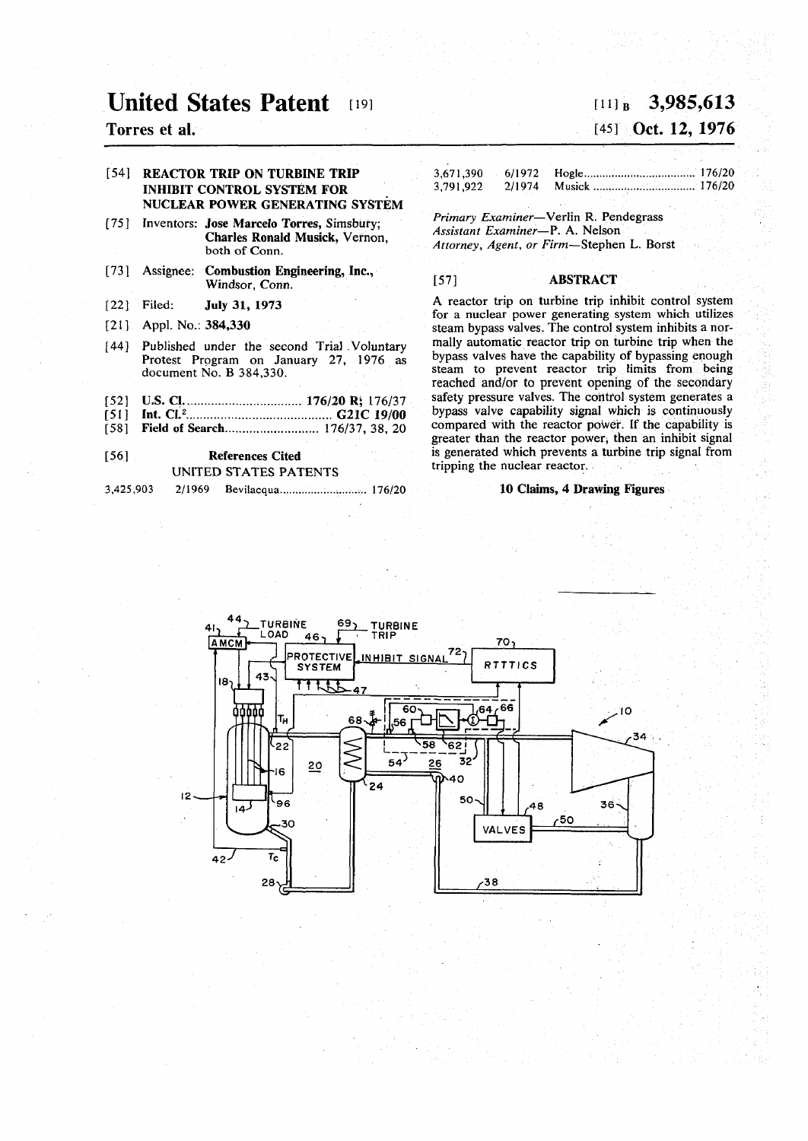# **United States Patent**

## **Torres et al.**

### [54] REACTOR TRIP ON TURBINE TRIP INHIBIT CONTROL SYSTEM FOR NUCLEAR POWER GENERATING SYSTEM

- [75] Inventors: Jose Marcelo Torres, Simsbury; **Charles Ronald Musick,** Vernon, **both of Conn.**
- [73] Assignee: Combustion Engineering, Inc., Windsor, Conn.
- **[22]**  Filed: July 31, 1973
- [21] Appl. No.: 384,330
- [44] Published under the second Trial Voluntary Protest Program on January 27, 1976 as document No. B 384,330.
- [52] U.S. CI 176/20 R\ 176/37
- [51] Int. CI.<sup>2</sup> G21C 19/00
- [58] Field of Search.............................. 176/37, 38, 20

#### [56] References Cited UNITED STATES PATENTS

**3,425,903 2/1969 Bevilacqua 176/20** 

# **[li] B 3,985,613 [45]** Oct. 12, 1976

## **3,671,390** 6/1972 Hogle 11 **Micropherman 176/20 176/20 176/20 176/20 176/20 3,791,922 2/1974 Musick 176/20**

*Primary Examiner*—Verlin R. Pendegrass *Assistant Examiner*—P. A. Nelson *Attorney, Agent, or Firm*—Stephen L. Borst

### [57] ABSTRACT

A reactor trip on turbine trip inhibit control system for a nuclear power generating system which utilizes steam bypass valves. The control system inhibits a normally automatic reactor trip on turbine trip when the bypass valves have the capability of bypassing enough steam to prevent reactor trip limits from being reached and/or to prevent opening of the secondary safety pressure valves. The control system generates a bypass valve capability signal which is continuously compared with the reactor power. If the capability is greater than the reactor power; then an inhibit signal is generated which prevents a turbine trip signal from tripping the nuclear reactor.

#### 10 Claims, 4 Drawing Figures

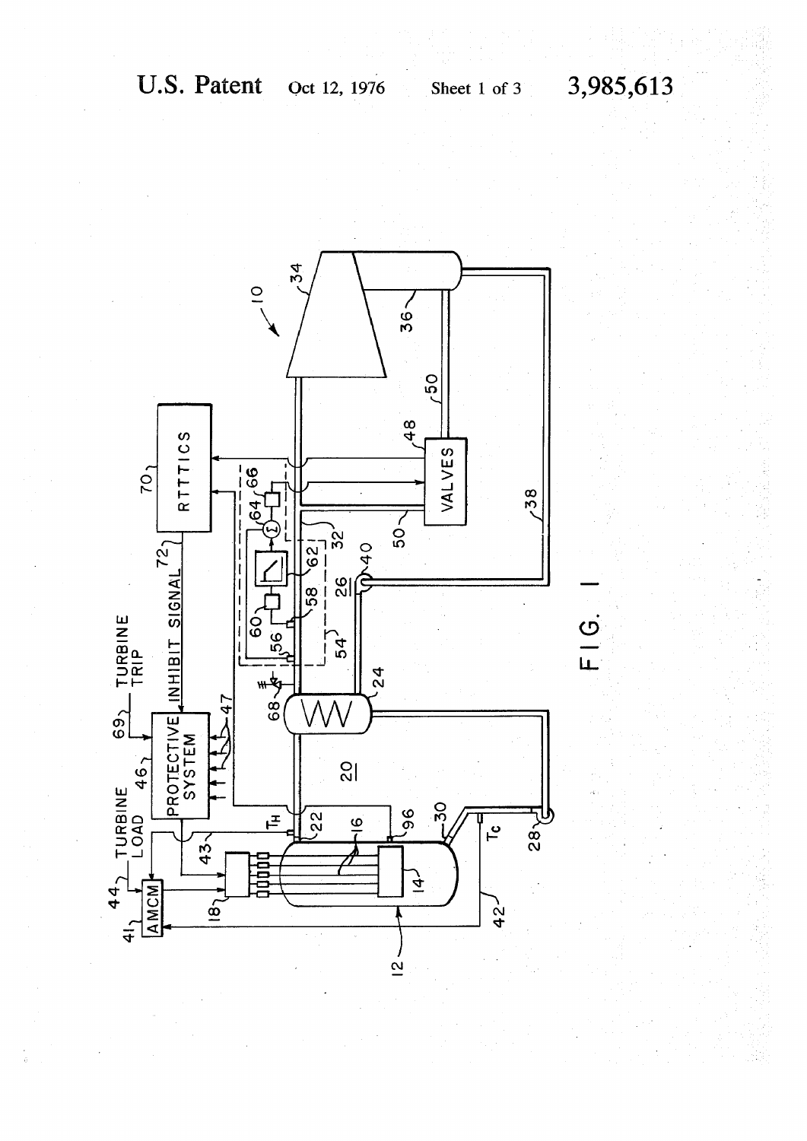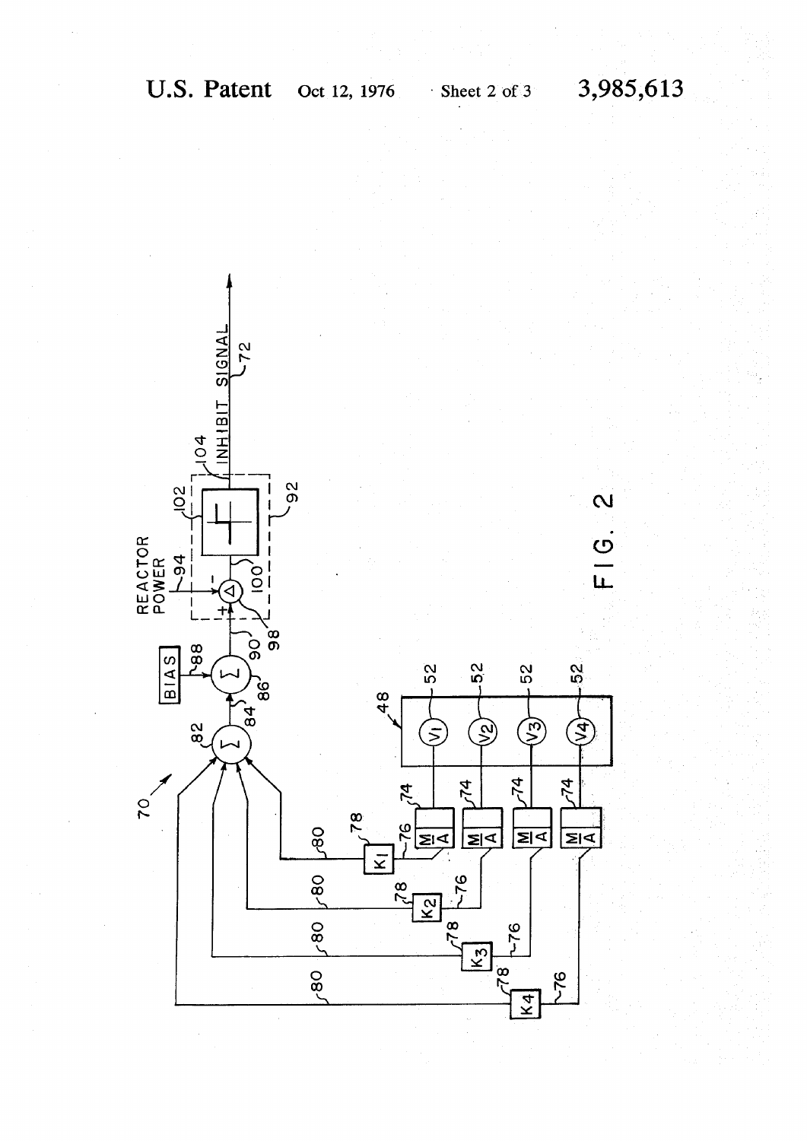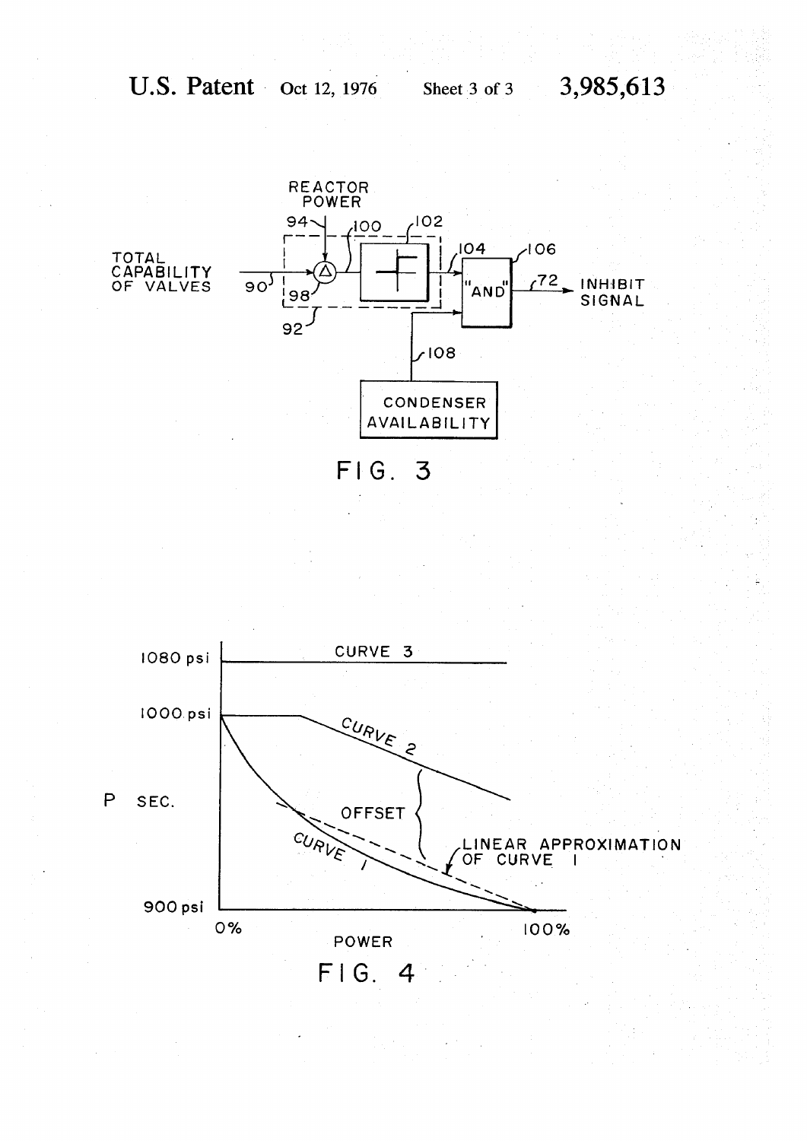

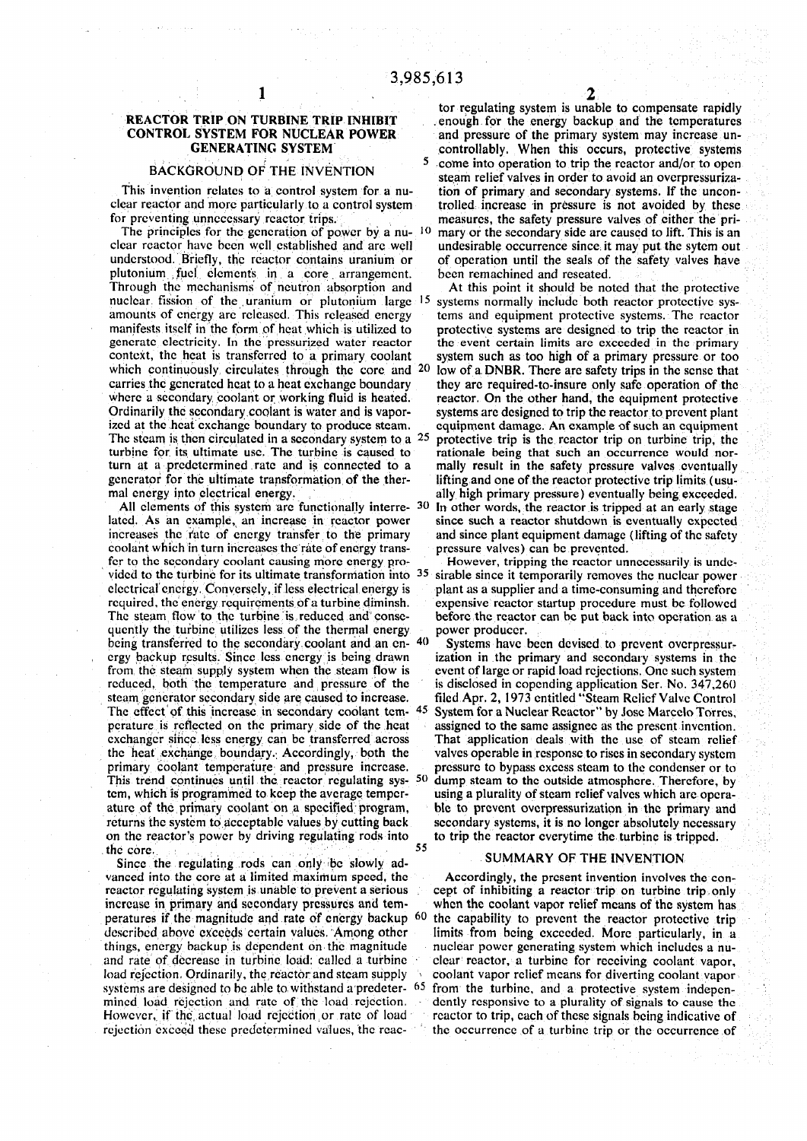#### BACKGROUND OF THE INVENTION

The principles for the generation of power by a nu- $1<sup>0</sup>$ plutonium fuel elements in a core arrangement. Through the mechanisms of neutron absorption and At this point it should be noted that the protective nuclear fission of the uranium or plutonium large <sup>15</sup> manifests itself in the form of heat which is utilized to protective systems are designed to trip the reactor in generate electricity. In the pressurized water reactor the event certain limits are exceeded in the primary generate electricity. In the pressurized water reactor the event certain limits are exceeded in the primary context, the heat is transferred to a primary coolant system such as too high of a primary pressure or too which continuously circulates through the core and  $20$ where a secondary coolant or working fluid is heated. reactor. On the other hand, the equipment protective Ordinarily the secondary coolant is water and is vapor-<br>Systems are designed to trip the reactor to prevent plant Ordinarily the secondary coolant is water and is vapor-<br>ized at the heat exchange boundary to produce steam. equipment damage. An example of such an equipment The steam is then circulated in a secondary system to a  $25$ turbine for its ultimate use. The turbine is caused to turn at a predetermined rate and is connected to a turn at a predetermined rate and is connected to a mally result in the safety pressure valves eventually generator for the ultimate transformation of the ther-<br>lifting and one of the reactor protective trip limits (usu-

All elements of this system are functionally interre- $30$ coolant which in turn increases the rate of energy transfor to the secondary coolant causing more energy pro-<br>However, tripping the reactor unnecessarily is undevided to the turbine for its ultimate transformation into  $35$ quently the turbine utilizes less of the thermal energy power producer.<br>being transferred to the secondary coolant and an en-40 Systems have been devised to prevent overpressurbeing transferred to the secondary coolant and an en-40 Systems have been devised to prevent overpressur-<br>ergy backup results. Since less energy is being drawn ization in the primary and secondary systems in the crgy backup results. Since less energy is being drawn from the steam supply system when the steam flow is steam generator secondary side are caused to increase.<br>The effect of this increase in secondary coolant temthe heat exchange boundary. Accordingly, both the valves operable in response to rises in secondary system primary coolant temperature and pressure increase. pressure to bypass excess steam to the condenser or to This trend continues until the reactor regulating sys- 50 tem, which is programmed to keep the average temper-<br>ature of the primary coolant on a specified program, on the reactor's power by driving regulating rods into to trip the reactor everytime the turbine is tripped. the core.

Since the regulating rods can only be slowly ad-<br>SUMMARY OF THE INVENTION vanced into the core at a limited maximum speed, the Accordingly, the present invention involves the con-

1 and 2 and 2 and 2 and 2 and 2  $\mathbf{Z}_2$ tor regulating system is unable to compensate rapidly REACTOR TRIP ON TURBINE TRIP INHIBIT ... enough for the energy backup and the temperatures CONTROL SYSTEM FOR NUCLEAR POWER ... and pressure of the primary system may increase unand pressure of the primary system may increase un-**GENERATING SYSTEM controllably. When this occurs, protective systems**   $\begin{bmatrix} 5 & 2 \end{bmatrix}$  c me into operation to trip the reactor and/or to operation BACKGROUND OF THE INVENTION steam relief valves in order to avoid an overpressuriza-<br>This invention relates to a control system for a nu-<br>tion of primary and secondary systems. If the uncontion of primary and secondary systems. If the unconclear reactor and more particularly to a control system trolled, increase in pressure is not avoided by these<br>for preventing unnecessary reactor trips. The measures, the safety pressure valves of either the primeasures, the safety pressure valves of cither the pri mary or the secondary side arc caused to lift. This is an clear reactor have been well established and arc well undesirable occurrence since it may put the sytem out understood. Briefly, the reactor contains uranium or of operation until the seals of the safety valves have of operation until the seals of the safety valves have<br>been remachined and reseated.

 systems normally include both reactor protective sysamounts of energy are released. This released energy terms and equipment protective systems. The reactor system such as too high of a primary pressure or too low of a. DNBR. There are safety trips in the sense that carries the generated heat to a heat exchange boundary they arc required-to-insure only safe operation of the equipment damage. An example of such an equipment protective trip is the reactor trip on turbine trip, the rationale being that such an occurrence would norlifting and one of the reactor protective trip limits (usumal energy into electrical energy. ally high primary pressure) eventually being exceeded. In other words, the reactor is tripped at an early stage latcd. As an example, an increase in rcactor power since such a reactor shutdown is eventually expected increases the Yate of energy transfer to the primary and since plant equipment damage (lifting of the safety coolant which in turn increases the rate of energy trans-<br>pressure valves) can be prevented.

 sirable since it temporarily removes the nuclcar power electrical energy. Conversely, if less electrical energy is plant as a supplier and a time-consuming and therefore required, the energy requirements of a turbine diminsh. expensive reactor startup procedure must be followe required, the energy requirements of a turbine diminsh. expensive reactor startup procedure must be followed<br>The steam flow to the turbine is reduced and conse-<br>before the reactor can be put back into operation as a before the reactor can be put back into operation as a power producer.

from the steam supply system when the steam flow is event of large or rapid load rejections. One such system reduced, both the temperature and pressure of the is disclosed in copending application Ser. No. 347,260 is disclosed in copending application Ser. No. 347,260 filed Apr. 2, 1973 entitled "Steam Relief Valve Control The effect of this increase in secondary coolant tem- 45 System for a Nuclear Reactor" by Jose Marcelo Torres, perature is reflected on the primary side of the heat assigned to the same assignee as the present invention. perature is reflected on the primary side of the heat assigned to the same assignee as the present invention, exchanger since less energy can be transferred across That application deals with the use of steam relief That application deals with the use of steam relief pressure to bypass excess steam to the condenser or to dump steam to the outside atmosphere. Therefore, by using a plurality of steam relief valves which are operaature of the primary coolant on a specified program, ble to prevent overpressurization in the primary and returns the system to acceptable values by cutting back secondary systems, it is no longer absolutely necessary secondary systems, it is no longer absolutely necessary

reactor regulating system is unable to prevent a serious cept of inhibiting a reactor trip on turbine trip, only increase in primary and secondary pressures and tem- when the coolant vapor relief means of the system has peratures if the magnitude and rate of energy backup <sup>60</sup> the capability to prevent the reactor protective trip described above exceeds certain values. Among other limits from being exceeded. More particularly, in a things, energy backup is dependent on the magnitude nuclear power generating system which includes a nuand rate of decrease in turbine load: called a turbine clear reactor, a turbine for receiving coolant vapor, load rejection. Ordinarily, the reactor and steam supply coolant vapor relief means for diverting coolant vapor systems are designed to be able to withstand a predeter-  $65$  from the turbine, and a protective system indepen-<br>mined load rejection and rate of the load rejection. A dently responsive to a plurality of signals to cause dently responsive to a plurality of signals to cause the However, if the actual load rejection or rate of load reactor to trip, each of these signals being indicative of rejection exceed these predetermined values, the reac- ' thc occurrence of a turbine trip or the occurrence of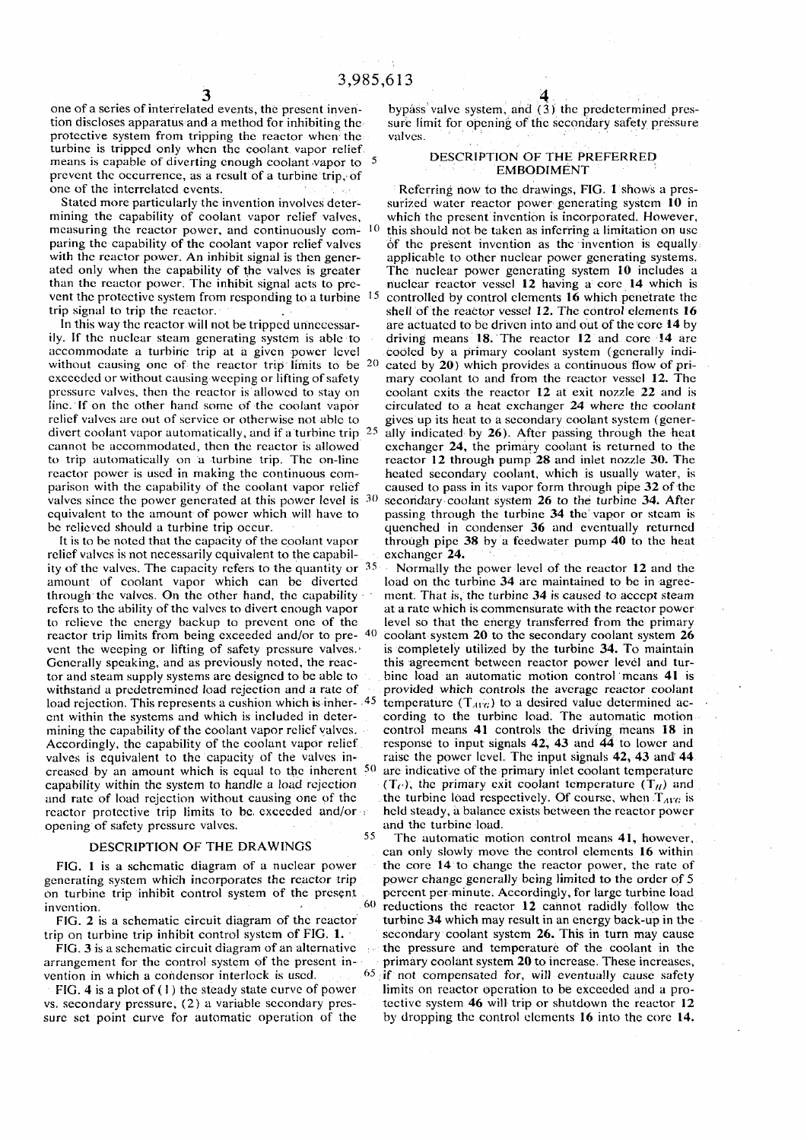one of a series of interrelated events, the present invention discloses apparatus and a method for inhibiting the protective system from tripping the reactor when the turbine is tripped only when the coolant vapor relief means is capable of diverting enough coolant vapor to <sup>5</sup> prevent the occurrence, as a result of a turbine trip, of one of the interrelated events.

Stated more particularly the invention involves determining the capability of coolant vapor relief valves, measuring the reactor power, and continuously com-10 paring the capability of the coolant vapor relief valves with the reactor power. An inhibit signal is then generated only when the capability of the valves is greater than the reactor power. The inhibit signal acts to prevent the protective system from responding to a turbine <sup>15</sup> trip signal to trip the rcactor.

In this way the rcactor will not be tripped unnecessarily. If the nuclear steam generating system is able to accommodate a turbine trip at a given power level without causing one of the reactor trip limits to be  $20$ cxccedcd or without causing weeping or lifting of safety pressure valves, then the reactor is allowed to stay on line. If on the other hand some of the coolant vapor relief valves are out of service or otherwise not able to divert coolant vapor automatically, and if a turbine trip  $25$ cannot be accommodated, then the reactor is allowed to trip automatically on a turbine trip. The on-line rcactor power is used in making the continuous comparison with the capability of the coolant vapor relief valves since the power generated at this power level is  $30$ equivalent to the amount of power which will have to be relieved should a turbine trip occur.

It is to be noted that the capacity of the coolant vapor relief valves is not necessarily equivalent to the capability of the valves. The capacity refers to the quantity or 3<sup>5</sup> amount of coolant vapor which can be diverted through the valves. On the other hand, the capability refers to the ability of the valves to divert enough vapor to relieve the energy backup to prevent one of the reactor trip limits from being exceeded and/or to pre- $40$ vent the weeping or lifting of safety pressure valves.' Generally speaking, and as previously noted, the reactor and steam supply systems are designed to be able to withstand a predetremined load rejection and a rate of load rejection. This represents a cushion which is inher- 45 cnt within the systems and which is included in determining the capability of the coolant vapor relief valves. Accordingly, the capability of the coolant vapor relief valves is equivalent to the capacity of the valves increased by an amount which is equal to the inherent  $50$  are indicative of the primary inlet coolant temperature capability within the system to handle a load rejection and rate of load rejection without causing one of the rcactor protective trip limits to be exceeded and/or  $\cdot$ opening of safety pressure valves. 55

#### DESCRIPTION OF THE DRAWINGS

FIG. 1 is a schematic diagram of a nuclear power generating system which incorporates the rcactor trip on turbine trip inhibit control system of the present 60 invention.

FIG. 2 is a schematic circuit diagram of the reactor trip on turbine trip inhibit control system of FIG. 1.

FIG. 3 is a schematic circuit diagram of an alternative arrangement for the control system of the present invention in which a condensor interlock is used.

FIG. 4 is a plot of (1) the steady state curve of power vs. secondary pressure, (2) a variable secondary pressure set point curve for automatic operation of the

bypass valve system, and (3) the predetermined pressure limit for opening of the secondary safety pressure valves.

#### DESCRIPTION OF THE PREFERRED EMBODIMENT

Referring now to the drawings, FIG. 1 shows a pressurized water reactor power generating system 10 in which the present invention is incorporated. However, this should not be taken as inferring a limitation on use of the present invention as the invention is equally applicable to other nuclear power generating systems. The nuclear power generating system 10 includes a nuclear rcactor vessel 12 having a core 14 which is controlled by control elements 16 which penetrate the shell of the reactor Vessel 12. The control elements 16 are actuated to be driven into and out of the core 14 by driving means 18. The reactor 12 and core 14 are cooled by a primary coolant system (generally indicated by 20) which provides a continuous flow of primary coolant to and from the reactor vessel 12. The coolant exits the reactor 12 at exit nozzle 22 and is circulated to a heat exchanger 24 where the coolant gives up its heat to a secondary coolant system (generally indicated by 26). After passing through the heat exchanger 24, the primary coolant is returned to the rcactor 12 through pump 28 and inlet nozzle 30. The heated secondary coolant, which is usually water, is caused to pass in its vapor form through pipe 32 of the secondary coolant system 26 to the turbine 34. After passing through the turbine 34 the vapor or steam is quenched in condenser 36 and eventually returned through pipe 38 by a feedwater pump 40 to the heat exchanger 24.

Normally the power level of the reactor 12 and the load on the turbine 34 are maintained to be in agreement. That is, the turbine 34 is caused to accept steam at a rate which is commensurate with the reactor power level so that the energy transferred from the primary coolant system 20 to the secondary coolant system 26 is completely utilized by the turbine 34. To maintain this agreement between reactor power level and turbine load an automatic motion control means 41 is provided which controls the average rcactor coolant temperature  $(T_{A1G})$  to a desired value determined according to the turbine load. The automatic motion control means 41 controls the driving means 18 in response to input signals 42, 43 and 44 to lower and raise the power level. The input signals 42, 43 and' 44  $(T<sub>f</sub>)$ , the primary exit coolant temperature  $(T<sub>H</sub>)$  and the turbine load respectively. Of course, when  $T_{ABC}$  is held steady, a balance exists between the rcactor power and the turbine load.

 $\frac{65}{7}$  if not compensated for, will eventually cause safety The automatic motion control means 41, however, can only slowly move the control elements 16 within the core 14 to change the reactor power, the rate of power change generally being limited to the order of 5 percent per minute. Accordingly, for large turbine load reductions the reactor 12 cannot radidly follow the turbine 34 which may result in an energy back-up in the secondary coolant system 26. This in turn may cause the pressure and temperature of the coolant in the primary coolant system 20 to increase. These increases, limits on reactor operation to be exceeded and a protective system 46 will trip or shutdown the reactor 12 by dropping the control elements 16 into the corc 14.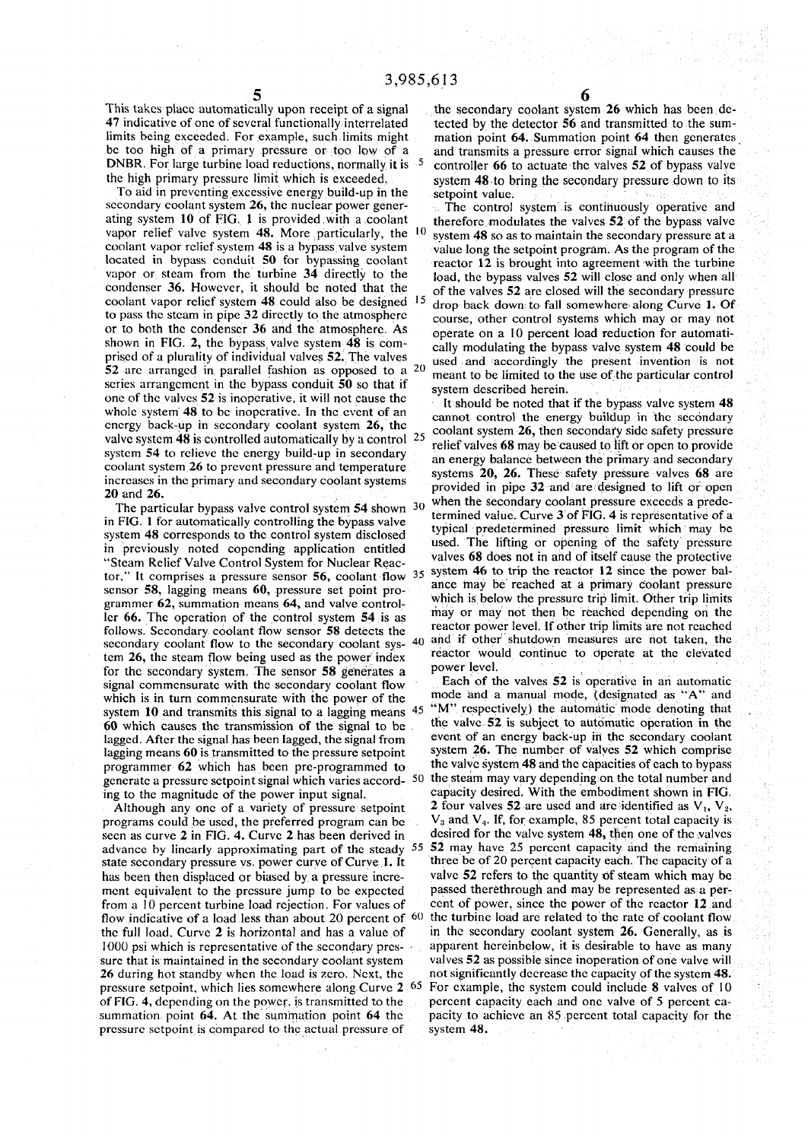This takes place automatically upon receipt of a signal the secondary coolant system 26 which has been de-<br>47 indicative of one of several functionally interrelated tected by the detector 56 and transmitted to the sum-DNBR. For large turbine load reductions, normally it is 5

To aid in preventing excessive energy build-up in the setpoint value,<br>secondary coolant system 26, the nuclear power gener-<br>The control secondary coolant system 26, the nuclear power gener-<br>ating system 10 of FIG. 1 is provided with a coolant therefore modulates the valves 52 of the bypass valve scries arrangement in the bypass conduit  $50$  so that if system described herein. one of the valves 52 is inoperative, it will not cause the  $\frac{1}{1}$  should be noted that if the bypass valve system 48

The particular bypass valve control system  $54$  shown  $30$ system 48 corresponds to the control system disclosed in previously noted copending application entitled "Steam Relief Valve Control System for Nuclear Reac grammer  $62$ , summation means  $64$ , and valve controller 66. The operation of the control system  $54$  is as follows. Secondary coolant flow sensor 58 detects the tem 26, the steam flow being used as the power index for the secondary system. The sensor 58 generates a power level. signal commensurate with the secondary coolant flow which is in turn commensurate with the power of the system 10 and transmits this signal to a lagging means  $45$ 60 which causes the transmission of the signal to be . lagged. After the signal has been lagged, the signal from

seen as curve 2 in FIG. 4. Curve 2 has been derived in advance by linearly approximating part of the steady 5. has been then displaced or biased by a pressure incre-<br>ment equivalent to the pressure jump to be expected passed there through and may be represented as a perfrom a 10 percent turbine load rejection. For values of flow indicative of a load less than about 20 percent of  $60$ sure that is maintained in the secondary coolant system 26 during hot standby when the load is zero. Next, the not significantly decrease the capacity of the system 48. pressure setpoint, which lies somewhere along Curve 2.65 of FIG. 4, depending on the power, is transmitted to the pressure setpoint is compared to the actual pressure of system 48.

**5 6** 

tected by the detector 56 and transmitted to the sumlimits being exceeded. For example, such limits might mation point 64. Summation point 64 then generates be too high of a primary pressure or too low of a and transmits a pressure error signal which causes the <sup>5</sup> controller 66 to actuate the valves 52 of bypass valve the high primary pressure limit which is exceeded. system 48 to bring the secondary pressure down to its

ating system 10 of FIG. 1 is provided with a coolant therefore modulates the valves  $\overline{52}$  of the bypass valve<br>vapor relief valve system 48. More particularly, the  $\frac{10}{2}$  system 48 so as to maintain the secondary p vapor relief valve system 48. More particularly, the  $^{10}$  system 48 so as to maintain the secondary pressure at a coolant vapor relief system 48 is a bypass valve system value long the setpoint program. As the program o coolant vapor relief system 48 is a bypass valve system value long the setpoint program. As the program of the<br>located in bypass conduit 50 for bypassing coolant reactor 12 is brought into agreement with the turbine located in bypass conduit 50 for bypassing coolant reactor 12 is brought into agreement with the turbine vapor or steam from the turbine 34 directly to the load, the bypass valves 52 will close and only when all vapor or steam from the turbine 34 directly to the  $\begin{array}{c} \text{load, the bypass values 52 will close and only when all condenser 36. However, it should be noted that the conderset is 52 are closed will the secondary pressure.} \end{array}$ condenser 36. However, it should be noted that the  $\frac{15}{12}$  of the valves 52 are closed will the secondary pressure coolant vapor relief system 48 could also be designed  $\frac{15}{12}$  drop back down to fall somewhere alo coolant vapor relief system 48 could also be designed  $^{15}$  drop back down to fall somewhere along Curve 1. Of to pass the steam in pipe 32 directly to the atmosphere course other control systems which may or may not course, other control systems which may or may not or to both the condenser 36 and the atmosphere. As operate on a 10 percent load reduction for automati-<br>shown in FIG. 2, the bypass valve system 48 is com-<br>cally modulating the bypass valve system 48 could be cally modulating the bypass valve system 48 could be prised of a plurality of individual valves 52. The valves used and accordingly the present invention is not 52 are arranged in parallel fashion as opposed to a  $20$  meant to be limited to the use of the particular control

whole system 48 to be inoperative. In the event of an cannot control the energy build up in the secondary coolant system 26, the coolant system 26 that secondary coolant system  $\frac{1}{26}$ , the coolant system 26 that secon coolant system 26, then secondary side safety pressure valve system 48 is controlled automatically by a control  $25$  relief valves 68 may be caused to lift or open to provide system 54 to relieve the energy build-up in secondary<br>an energy balance between the primary and secondary<br>and secondary coolant system 26 to prevent pressure and temperature and energy balance between the primary and secondary<br>increases in the primary and secondary coolant systems safety pressure values 68 are increases in the primary and secondary coolant systems provided in pipe 32 and are designed to lift or open 20 and 26.  $\sigma_{\text{min}}$  articular bypass valve control system 54 shown 30 when the secondary coolant pressure exceeds a prede- .. . , . " " • ^ r in FIG. 1 for automatically controlling the bypass valve termined value. Curve 3 of FIG. 4 is representative of a<br>typical predetermined pressure limit which may be  $\mu$  used. The mung or opening of the safety pressure a. The mung or opening or the valves oo does hot m and of itself cau  $\sigma$   $\mu$   $\mu$   $\tau$   $\mu$   $\mu$ tor," It comprises a pressure sensor 56, coolant flow  $35$  system 46 to trip the reactor 12 since the power bal-<br>sensor  $58$  legging manns 60, pressure set point proposition and the reached at a primary coolant pressure. sensor 58, lagging means 60, pressure set point pro-<br> $\frac{\text{since may be reached at a primary coolant pressure}}{\text{which is below the pressure trip limit. Other trip limits}}$ y or may not then be reached depending on the reactor power level. If other trip limits are not reache<br> $\frac{1}{2}$ secondary coolant flow to the secondary coolant sys- 40 and if other shutdown measures are not taken, the reactor would continue to operate at the elevated

Each of the valves  $52$  is operative in an automatic mode and a manual mode, (designated as "A" and "M" respectively) the automatic mode denoting that the valve 52 is subject to automatic operation in the event of an energy back-up in the secondary coolant lagging means 60 is transmitted to the pressure setpoint system 26. The number of valves 52 which comprise<br>programmer 62 which has been pre-programmed to the valve system 48 and the capacities of each to bypass programmer 62 which has been pre-programmed to the valve system 48 and the capacities of each to bypass generate a pressure set to interval which varies accord. 50 the steam may vary depending on the total number and generate a pressure sctpoint signal which varies accord- 50 the steam may vary depending on the total number and<br>ing to the magnitude of the nower input signal capacity desired. With the embodiment shown in FIG. ing to the magnitude of the power input signal. capacity desired. With the embodiment shown in FIG.<br>Although any one of a variety of pressure setpoint 2 four valves 52 are used and are identified as  $V_1$ ,  $V_2$ , Although any one of a variety of pressure setpoint 2 four valves 52 are used and are identified as  $V_1$ ,  $V_2$ ,  $V_3$ ,  $V_4$ ,  $V_5$ ,  $V_6$ ,  $V_7$ ,  $V_8$ ,  $V_9$ ,  $V_9$ ,  $V_1$ ,  $V_4$ ,  $V_5$ ,  $V_7$ ,  $V_8$ ,  $V_9$ ,  $V_9$ ,  $V_$ programs could be used, the preferred program can be  $V_3$  and  $V_4$ . If, for example, 85 percent total capacity is seen as curve 2 in FIG. 4. Curve 2 has been derived in desired for the valve system 48, then one of the v 52 may have 25 percent capacity and the remaining three be of 20 percent capacity each. The capacity of a state secondary pressure vs. power curve of Curve 1. It three be of 20 percent capacity each. The capacity of a<br>has been then displaced or biased by a pressure incre-<br>yalve 52 refers to the quantity of steam which may be ment equivalent to the pressure jump to be expected passed therethrough and may be represented as a per-<br>from a 10 percent turbine load rejection. For values of cent of power, since the power of the reactor 12 and the turbine load are related to the rate of coolant flow the full load. Curve 2 is horizontal and has a value of in the secondary coolant system 26. Generally, as is 1000 psi which is representative of the secondary pres-<br>apparent hereinbelow, it is desirable to have as many 1000 psi which is representative of the secondary pres-<br>sure that is maintained in the secondary coolant system valves 52 as possible since inoperation of one valve will For example, the system could include 8 valves of 10 percent capacity each and one valve of 5 percent casummation, point 64. At the summation point 64 the pacity to achieve an 85 percent total capacity for the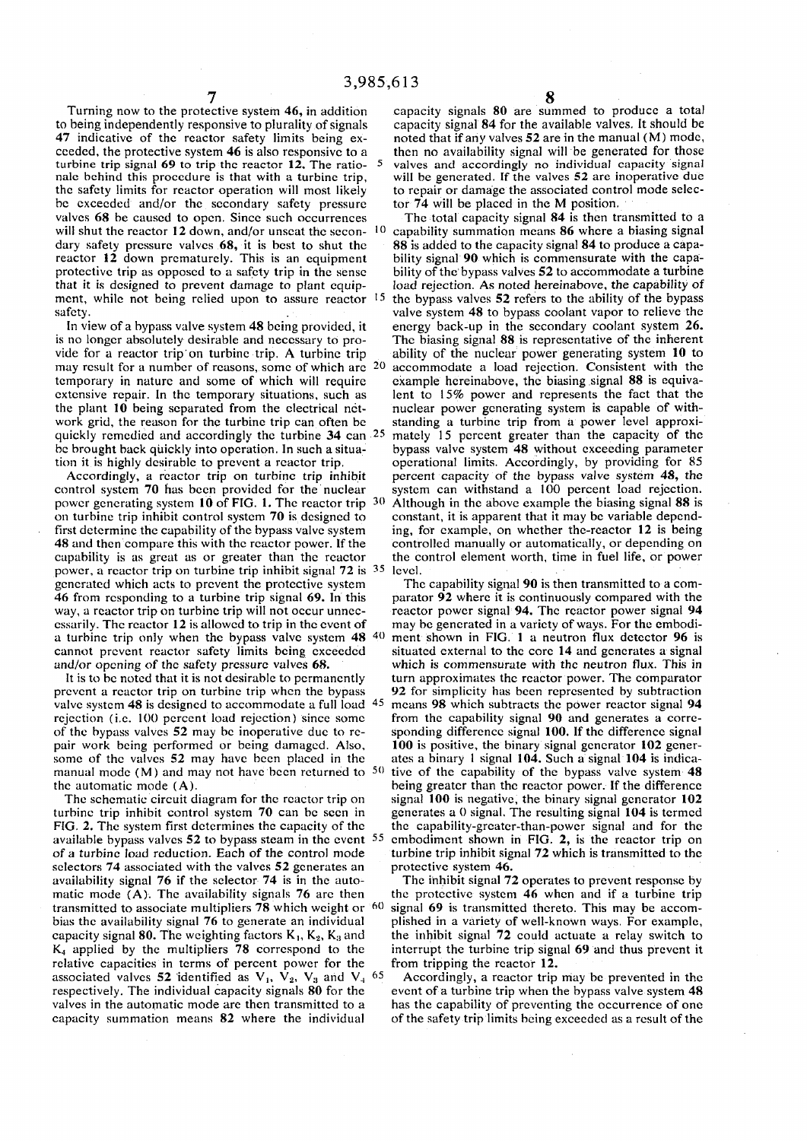to being independently responsive to plurality of signals capacity signal 84 for the available valves. It should be<br>47 indicative of the reactor safety limits being ex- noted that if any valves 52 are in the manual (M) mod ceeded, the protective system 46 is also responsive to a then no availability signal will be generated for those turbine trip signal 69 to trip the reactor 12. The ratio nale behind this procedure is that with a turbine trip, the safety limits for reactor operation will most likely be exceeded and/or the secondary safety pressure tor 74 will be placed in the M position. valves 68 be caused to open. Since such occurrences The total capacity signal 84 is then transmitted to a will shut the reactor 12 down, and/or unseat the secon- $10$ dary safety pressure valves 68, it is best to shut the 88 is added to the capacity signal 84 to produce a capa-<br>reactor 12 down prematurely. This is an equipment bility signal 90 which is commensurate with the capareactor  $12$  down prematurely. This is an equipment protective trip as opposed to a safety trip in the sense that it is designed to prevent damage to plant equip- load rejection. As noted hereinabove, the capability of ment, while not being relied upon to assure reactor 1. safety. **Safety** safety. The system 48 to bypass coolant vapor to relieve the

is no longer absolutely desirable and necessary to pro- The biasing signal 88 is representative of the inherent vide for a reactor trip'on turbine trip. A turbine trip ability of the nuclear power generating system 10 to may result for a number of reasons, some of which are  $20$ temporary in nature and some of which will require extensive repair. In the temporary situations, such as extensive repair. In the temporary situations, such as lent to 15% power and represents the fact that the the plant 10 being separated from the electrical net-<br>nuclear power generating system is capable of withthe plant 10 being separated from the electrical net-<br>work grid, the reason for the turbine trip can often be<br>standing a turbine trip from a power level approxiquickly remedied and accordingly the turbine 34 can <sup>2:</sup> be brought back quickly into operation. In such asitua- bypass valve system 48 without exceeding parameter

Accordingly, a reactor trip on turbine trip inhibit control system 70 has been provided for the nuclear system can withstand a 100 percent load rejection, power generating system 10 of FIG. 1. The reactor trip  $3($ on turbine trip inhibit control system 70 is designed to constant, it is apparent that it may be variable depend-<br>first determine the capability of the bypass valve system ing, for example, on whether the-reactor 12 is bei first determine the capability of the bypass valve system ing, for example, on whether the-reactor 12 is being 48 and then compare this with the reactor power. If the controlled manually or automatically, or depending on capability is as great as or greater than the reactor the control element worth, time in fuel life, or power power, a reactor trip on turbine trip inhibit signal 72 is <sup>35</sup> level.<br>generated which acts to prevent the protective system The capability signal 90 is then transmitted to a comgenerated which acts to prevent the protective system 46 from responding to a turbine trip signal 69. In this parator 92 where it is continuously compared with the way, a reactor trip on turbine trip will not occur unnec-<br>exactor power signal 94. The reactor 12 is allowed to trip in the event of may be generated in a variety of ways. For the embodicssarily. The reactor 12 is allowed to trip in the event of may be generated in a variety of ways. For the embodi-<br>a turbine trip only when the bypass valve system 48  $40$  ment shown in FIG. 1 a neutron flux detector 96 i a turbine trip only when the bypass valve system  $48^{40}$  ment shown in FIG. 1 a neutron flux detector 96 is cannot prevent reactor safety limits being exceeded situated external to the core 14 and generates a signal cannot prevent reactor safety limits being exceeded

prevent a reactor trip on turbine trip when the bypass 92 for simplicity has been represented by subtraction valve system  $48$  is designed to accommodate a full load  $4$ : rejection (i.e. 100 percent load rejection) since some from the capability signal 90 and generates a corre-<br>of the bypass valves 52 may be inoperative due to re- sponding difference signal 100. If the difference signal of the bypass valves 52 may be inoperative due to repair work being performed or being damaged. Also, 100 is positive, the binary signal generator 102 gener-<br>some of the valves 52 may have been placed in the ates a binary 1 signal 104. Such a signal 104 is indicasome of the valves 52 may have been placed in the manual mode (M) and may not have been returned to  $50$ 

turbine trip inhibit control system 70 can be seen in generates a 0 signal. The resulting signal 104 is termed FIG. 2. The system first determines the capacity of the the capability-grcater-than-power signal and for the available bypass valves  $52$  to bypass steam in the event  $5$ . of a turbine load reduction. Each of the control mode selectors 74 associated with the valves 52 generates an protective system 46.<br>availability signal 76 if the selector 74 is in the auto-<br>The inhibit signal 72 operates to prevent response by availability signal 76 if the selector 74 is in the automatic mode  $(A)$ . The availability signals 76 arc then the protective system 46 when and if a turbine trip transmitted to associate multipliers 78 which weight or  $60$  signal 69 is transmitted thereto. This may be accombias the availability signal 76 to generate an individual plished in a variety of well-known ways. For example, capacity signal 80. The weighting factors  $K_1$ ,  $K_2$ ,  $K_3$  and  $K_4$  applied by the multipliers 78 correspond to the relative capacities in terms of percent power for the from tripping the reactor 12. associated valves 52 identified as  $V_1$ ,  $V_2$ ,  $V_3$  and  $V_4$  <sup>65</sup> respectively. The individual capacity signals 80 for the event of a turbine trip when the bypass valve system 48 valves in the automatic mode are then transmitted to a has the capability of preventing the occurrence of one

Turning now to the protective system 46, in addition capacity signals 80 are summed to produce a total noted that if any valves  $52$  are in the manual (M) mode, valves and accordingly no individual capacity signal will be generated. If the valves 52 are inoperative due to repair or damage the associated control mode selec-

 capability summation means 86 where a biasing signal bility of the bypass valves 52 to accommodate a turbine the bypass valves 52 refers to the ability of the bypass In view of a bypass valve system 48 being provided, it energy back-up in the secondary coolant system 26. accommodate a load rejection. Consistent with the example hereinabove, the biasing signal 88 is equivastanding a turbine trip from a power level approxi mately 15 percent greater than the capacity of the tion it is highly desirable to prevent a reactor trip. operational limits. Accordingly, by providing for 85<br>Accordingly, a reactor trip on turbine trip inhibit percent capacity of the bypass valve system 48, the Although in the above example the biasing signal 88 is controlled manually or automatically, or depending on

and/or opening of the safety pressure valves 68. which is commensurate with the neutron flux. This in<br>It is to be noted that it is not desirable to permanently turn approximates the reactor power. The comparator turn approximates the reactor power. The comparator means 98 which subtracts the power reactor signal 94 from the capability signal 90 and generates a corre tive of the capability of the bypass valve system 48 the automatic mode (A). being greater than the reactor power. If the difference The schematic circuit diagram for the reactor trip on signal 100 is negative, the binary signal generator  $102$ embodiment shown in FIG. 2, is the reactor trip on turbine trip inhibit signal 72 which is transmitted to the

> the inhibit signal 72 could actuate a relay switch to interrupt the turbine trip signal 69 and thus prevent it

 Accordingly, a reactor trip may be prevented in the has the capability of preventing the occurrence of one capacity summation means 82 where the individual of the safety trip limits being exceeded as a result of the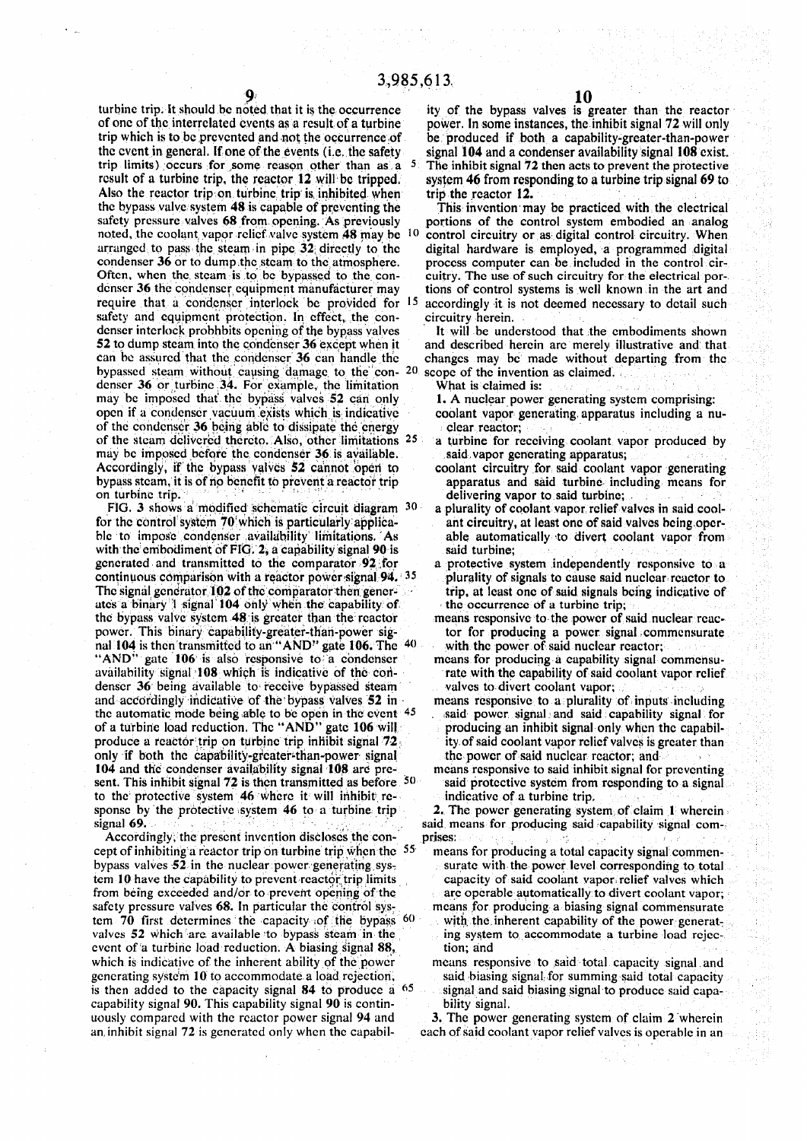turbine trip. It should be noted that it is the occurrence of one of the interrelated events as a result of a turbine trip which is to be prevented and not the occurrence of the event in general. If one of the events (i.e. the safety trip limits) occurs for some reason other than as a result of a turbine trip, the reactor 12 will be tripped. Also the reactor trip on turbine trip is, inhibited when the bypass valve system 48 is capable of preventing the safety pressure valves 68 from opening. As previously noted, the coolant vapor relief valve system 48 may be  $10$ arranged to pass the steam in pipe. 32; directly to the condenser 36 or to dump the steam to the atmosphere. Often, when the steam is to be bypassed to the condenser 36 the condenser equipment manufacturer may require that a condcnscr interlock be provided for '5 safety and equipment protection. In effect, the condenser interlock probhbits opening of the bypass valves 52 to dump steam into the condenser 36 except when it can be assured that the condenser 36 can handle the bypassed steam without causing damage to the con- 20 denser 36 or turbine 34. For example, the limitation may be imposed that' the bypass valves 52 can only open if a condenscr vacuum exists which is indicative of the condenser. 36. being able to dissipate the energy of the steam delivered thereto. Also, other limitations 25 may be imposed before the condenser 36 is available. Accordingly, if the bypass valves 52 cannot open to bypass steam, it is of rip benefit to prevent a reactor trip on turbine trip.

FIG. 3 shows a modified schematic circuit diagram 30 for the control system 70'which is particulariy applicable to impose condcnscr availability limitations. As with the embodiment of FIG. 2, a capability signal 90 is generated and transmitted to the comparator 92,for continuous comparison with a reactor power signal 94. 35 The signal generator 102 of the comparator then generates a binary 1 signal 104 only when the' capability of the bypass valve system 48 is greater than the rcactor power. This binary capability-greater-thari-power signal 104 is then transmitted to an "AND" gate 106. The "AND" gate 106 is also responsive to a condenser availability signal 108 which is indicative of the condenser 36 being available to receive bypassed steam and accordingly indicative of the bypass valves 52 in • the automatic mode being able to be open in the event 45 of a turbine load reduction. The "AND" gate 106 will produce a reactor trip on turbine trip inhibit signal 72. only if both the capability-greater-than-power signal 104 and the condenser availability signal 108 are present. This inhibit signal 72 is then transmitted as before 50 to the protective system 46 where it will inhibit response by the protective system 46 to a turbine trip signal 69. : .

Accordingly, the present invention discloses the concept of inhibiting a reactor trip on turbine trip when the 55 bypass valves 52 in the nuclear power generating system 10 have the capability to prevent rcactor. trip limits from being exceeded and/or to prevent opening of the safety pressure valves 68. In particular the control system  $70$  first determines the capacity of the bypass  $60$ valves 52 which are available to bypass steam in the event of a turbine load reduction. A biasing signal 88, which is indicative of the inherent ability of the power generating syste'm 10 to accommodate a load rejection, is then added to the capacity signal  $84$  to produce a  $65$ capability signal 90. This capability signal 90 is continuously compared with the reactor power signal 94 and an, inhibit signal 72 is generated only when the capability of the bypass valves is greater than the reactor power. In some instances, the inhibit signal 72 will only be produced if both a capability-greater-than-power signal 104 and a condenser availability signal 108 exist. The inhibit signal 72 then acts to prevent the protective system 46 from responding to a turbine trip signal 69 to trip the reactor 12.

This invention may be practiced with the electrical portions of the control system embodied an analog control circuitry or as digital control circuitry. When digital hardware is employed, a programmed digital process computer can be included in the control circuitry. The use of such circuitry for the electrical portions of control systems is well known in the art and accordingly it is not deemed necessary to detail such circuitry herein.

It will be understood that the embodiments shown and described herein are merely illustrative and that changes may be made without departing from the scope of the invention as claimed.

What is claimed is:

- 1. A nuclear power generating system comprising: coolant vapor generating, apparatus including a nuclear reactor;
- a turbine for receiving coolant vapor produced by said, vapor generating apparatus;
- coolant circuitry for said coolant vapor generating apparatus and said turbine including means for delivering vapor to said turbine;
- a plurality of coolant vapor, relief valves in said coolant circuitry, at least one of said valves being operable automatically to divert coolant vapor from said turbine;
- a protective system independently responsive to a plurality of signals to cause said nuclcar rcactor to trip, at least one of said signals being indicative of • the occurrence of a turbine trip;
- means responsive to the power of said nuclear rcactor for producing a power signal commensurate with the power of said nuclear reactor;
- means for producing a capability signal commensurate with the capability of said coolant vapor relief valves to divert coolant vapor;
- means responsive to a plurality of inputs including said power signal and said capability signal for producing an inhibit signal only when the capability, of said coolant vapor relief valves is greater than the power of said nuclear rcactor; and
- means responsive to said inhibit signal for preventing said protective system from responding to a signal indicative of a turbine trip.

2. The power generating system of claim 1 wherein said means for producing said capability signal comprises:

means for producing a total capacity signal commensurate with the power level corresponding to total capacity of said coolant vapor.relief valves which are operable automatically to divert coolant vapor; means for producing a biasing signal commensurate with the inherent capability of the power generating sysitem to accommodate a turbine load rejec-

tion; and means responsive to said total capacity signal and said biasing signal for summing said total capacity signal and said biasing signal to produce said capability signal.

3. The power generating system of claim 2 wherein each of said coolant vapor relief valves is operable in an